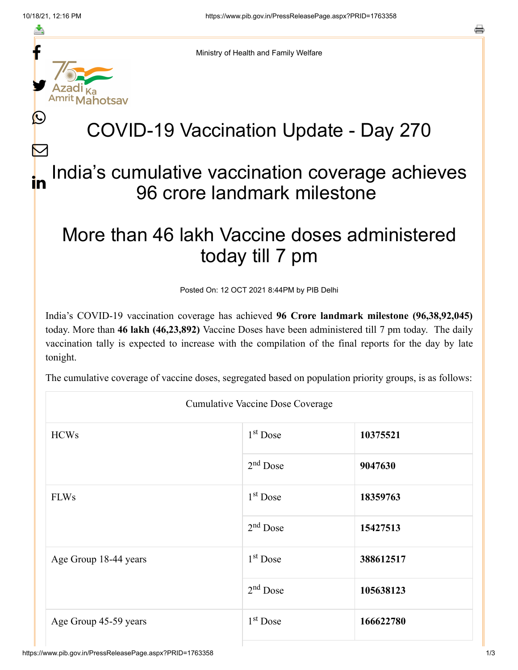≛

 $\bm{\nabla}$ 



Ministry of Health and Family Welfare

## COVID-19 Vaccination Update - Day 270

## India's cumulative vaccination coverage achieves 96 crore landmark milestone in

## More than 46 lakh Vaccine doses administered today till 7 pm

Posted On: 12 OCT 2021 8:44PM by PIB Delhi

India's COVID-19 vaccination coverage has achieved **96 Crore landmark milestone (96,38,92,045)** today. More than **46 lakh (46,23,892)** Vaccine Doses have been administered till 7 pm today. The daily vaccination tally is expected to increase with the compilation of the final reports for the day by late tonight.

The cumulative coverage of vaccine doses, segregated based on population priority groups, is as follows:

| <b>Cumulative Vaccine Dose Coverage</b> |                      |           |  |  |
|-----------------------------------------|----------------------|-----------|--|--|
| <b>HCWs</b>                             | $1st$ Dose           | 10375521  |  |  |
|                                         | $2nd$ Dose           | 9047630   |  |  |
| <b>FLWs</b>                             | $1st$ Dose           | 18359763  |  |  |
|                                         | $2nd$ Dose           | 15427513  |  |  |
| Age Group 18-44 years                   | $1st$ Dose           | 388612517 |  |  |
|                                         | 2 <sup>nd</sup> Dose | 105638123 |  |  |
| Age Group 45-59 years                   | $1st$ Dose           | 166622780 |  |  |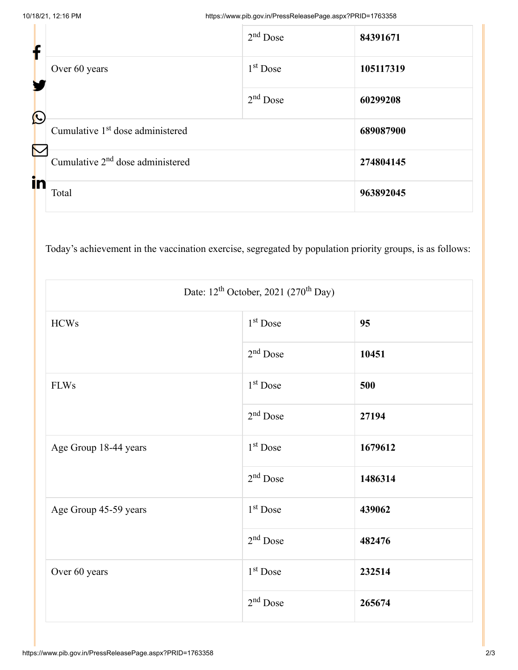| T                     |                                              | $2nd$ Dose           | 84391671  |
|-----------------------|----------------------------------------------|----------------------|-----------|
|                       | Over 60 years                                | 1 <sup>st</sup> Dose | 105117319 |
| $\mathbf C$           |                                              | $2nd$ Dose           | 60299208  |
| $\boldsymbol{\nabla}$ | Cumulative 1 <sup>st</sup> dose administered |                      | 689087900 |
|                       | Cumulative 2 <sup>nd</sup> dose administered |                      | 274804145 |
| in                    | Total                                        |                      | 963892045 |

Today's achievement in the vaccination exercise, segregated by population priority groups, is as follows:

| Date: $12^{th}$ October, 2021 (270 <sup>th</sup> Day) |                      |         |  |
|-------------------------------------------------------|----------------------|---------|--|
| <b>HCWs</b>                                           | 1 <sup>st</sup> Dose | 95      |  |
|                                                       | $2nd$ Dose           | 10451   |  |
| <b>FLWs</b>                                           | 1 <sup>st</sup> Dose | 500     |  |
|                                                       | $2nd$ Dose           | 27194   |  |
| Age Group 18-44 years                                 | 1 <sup>st</sup> Dose | 1679612 |  |
|                                                       | $2nd$ Dose           | 1486314 |  |
| Age Group 45-59 years                                 | 1 <sup>st</sup> Dose | 439062  |  |
|                                                       | $2nd$ Dose           | 482476  |  |
| Over 60 years                                         | $1st$ Dose           | 232514  |  |
|                                                       | $2nd$ Dose           | 265674  |  |